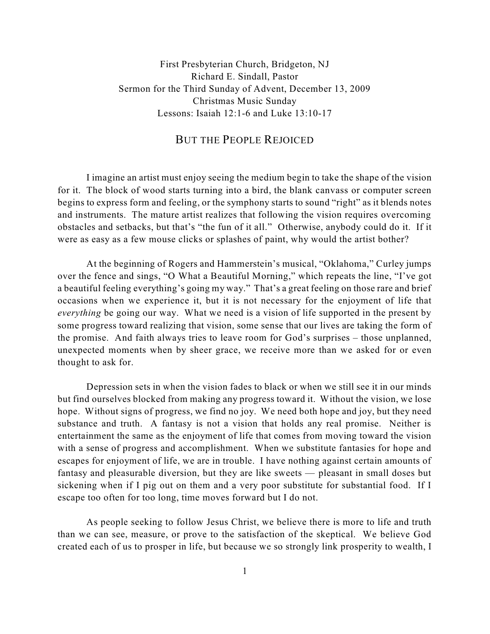First Presbyterian Church, Bridgeton, NJ Richard E. Sindall, Pastor Sermon for the Third Sunday of Advent, December 13, 2009 Christmas Music Sunday Lessons: Isaiah 12:1-6 and Luke 13:10-17

## BUT THE PEOPLE REJOICED

I imagine an artist must enjoy seeing the medium begin to take the shape of the vision for it. The block of wood starts turning into a bird, the blank canvass or computer screen begins to express form and feeling, or the symphony starts to sound "right" as it blends notes and instruments. The mature artist realizes that following the vision requires overcoming obstacles and setbacks, but that's "the fun of it all." Otherwise, anybody could do it. If it were as easy as a few mouse clicks or splashes of paint, why would the artist bother?

At the beginning of Rogers and Hammerstein's musical, "Oklahoma," Curley jumps over the fence and sings, "O What a Beautiful Morning," which repeats the line, "I've got a beautiful feeling everything's going my way." That's a great feeling on those rare and brief occasions when we experience it, but it is not necessary for the enjoyment of life that *everything* be going our way. What we need is a vision of life supported in the present by some progress toward realizing that vision, some sense that our lives are taking the form of the promise. And faith always tries to leave room for God's surprises – those unplanned, unexpected moments when by sheer grace, we receive more than we asked for or even thought to ask for.

Depression sets in when the vision fades to black or when we still see it in our minds but find ourselves blocked from making any progress toward it. Without the vision, we lose hope. Without signs of progress, we find no joy. We need both hope and joy, but they need substance and truth. A fantasy is not a vision that holds any real promise. Neither is entertainment the same as the enjoyment of life that comes from moving toward the vision with a sense of progress and accomplishment. When we substitute fantasies for hope and escapes for enjoyment of life, we are in trouble. I have nothing against certain amounts of fantasy and pleasurable diversion, but they are like sweets — pleasant in small doses but sickening when if I pig out on them and a very poor substitute for substantial food. If I escape too often for too long, time moves forward but I do not.

As people seeking to follow Jesus Christ, we believe there is more to life and truth than we can see, measure, or prove to the satisfaction of the skeptical. We believe God created each of us to prosper in life, but because we so strongly link prosperity to wealth, I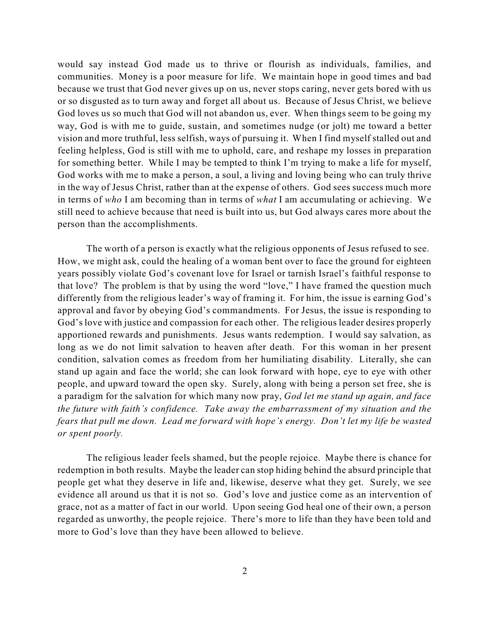would say instead God made us to thrive or flourish as individuals, families, and communities. Money is a poor measure for life. We maintain hope in good times and bad because we trust that God never gives up on us, never stops caring, never gets bored with us or so disgusted as to turn away and forget all about us. Because of Jesus Christ, we believe God loves us so much that God will not abandon us, ever. When things seem to be going my way, God is with me to guide, sustain, and sometimes nudge (or jolt) me toward a better vision and more truthful, less selfish, ways of pursuing it. When I find myself stalled out and feeling helpless, God is still with me to uphold, care, and reshape my losses in preparation for something better. While I may be tempted to think I'm trying to make a life for myself, God works with me to make a person, a soul, a living and loving being who can truly thrive in the way of Jesus Christ, rather than at the expense of others. God sees success much more in terms of *who* I am becoming than in terms of *what* I am accumulating or achieving. We still need to achieve because that need is built into us, but God always cares more about the person than the accomplishments.

The worth of a person is exactly what the religious opponents of Jesus refused to see. How, we might ask, could the healing of a woman bent over to face the ground for eighteen years possibly violate God's covenant love for Israel or tarnish Israel's faithful response to that love? The problem is that by using the word "love," I have framed the question much differently from the religious leader's way of framing it. For him, the issue is earning God's approval and favor by obeying God's commandments. For Jesus, the issue is responding to God's love with justice and compassion for each other. The religious leader desires properly apportioned rewards and punishments. Jesus wants redemption. I would say salvation, as long as we do not limit salvation to heaven after death. For this woman in her present condition, salvation comes as freedom from her humiliating disability. Literally, she can stand up again and face the world; she can look forward with hope, eye to eye with other people, and upward toward the open sky. Surely, along with being a person set free, she is a paradigm for the salvation for which many now pray, *God let me stand up again, and face the future with faith's confidence. Take away the embarrassment of my situation and the fears that pull me down. Lead me forward with hope's energy. Don't let my life be wasted or spent poorly.*

The religious leader feels shamed, but the people rejoice. Maybe there is chance for redemption in both results. Maybe the leader can stop hiding behind the absurd principle that people get what they deserve in life and, likewise, deserve what they get. Surely, we see evidence all around us that it is not so. God's love and justice come as an intervention of grace, not as a matter of fact in our world. Upon seeing God heal one of their own, a person regarded as unworthy, the people rejoice. There's more to life than they have been told and more to God's love than they have been allowed to believe.